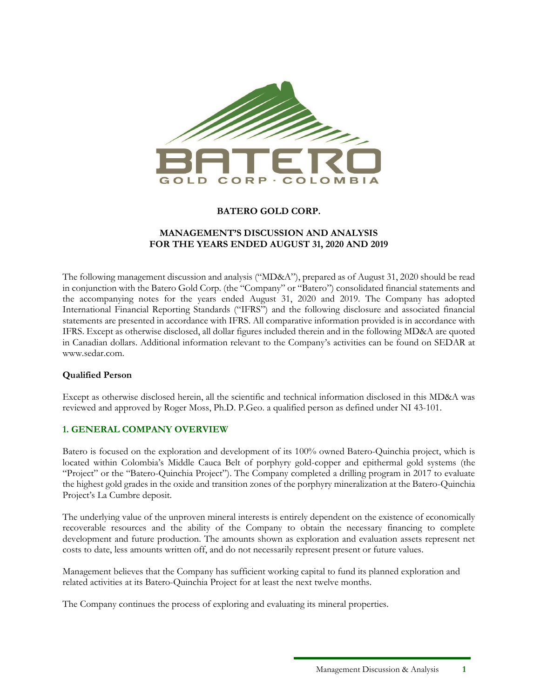

## **BATERO GOLD CORP.**

#### **MANAGEMENT'S DISCUSSION AND ANALYSIS FOR THE YEARS ENDED AUGUST 31, 2020 AND 2019**

The following management discussion and analysis ("MD&A"), prepared as of August 31, 2020 should be read in conjunction with the Batero Gold Corp. (the "Company" or "Batero") consolidated financial statements and the accompanying notes for the years ended August 31, 2020 and 2019. The Company has adopted International Financial Reporting Standards ("IFRS") and the following disclosure and associated financial statements are presented in accordance with IFRS. All comparative information provided is in accordance with IFRS. Except as otherwise disclosed, all dollar figures included therein and in the following MD&A are quoted in Canadian dollars. Additional information relevant to the Company's activities can be found on SEDAR at www.sedar.com.

#### **Qualified Person**

Except as otherwise disclosed herein, all the scientific and technical information disclosed in this MD&A was reviewed and approved by Roger Moss, Ph.D. P.Geo. a qualified person as defined under NI 43-101.

## **1. GENERAL COMPANY OVERVIEW**

Batero is focused on the exploration and development of its 100% owned Batero-Quinchia project, which is located within Colombia's Middle Cauca Belt of porphyry gold-copper and epithermal gold systems (the "Project" or the "Batero-Quinchia Project"). The Company completed a drilling program in 2017 to evaluate the highest gold grades in the oxide and transition zones of the porphyry mineralization at the Batero-Quinchia Project's La Cumbre deposit.

The underlying value of the unproven mineral interests is entirely dependent on the existence of economically recoverable resources and the ability of the Company to obtain the necessary financing to complete development and future production. The amounts shown as exploration and evaluation assets represent net costs to date, less amounts written off, and do not necessarily represent present or future values.

Management believes that the Company has sufficient working capital to fund its planned exploration and related activities at its Batero-Quinchia Project for at least the next twelve months.

The Company continues the process of exploring and evaluating its mineral properties.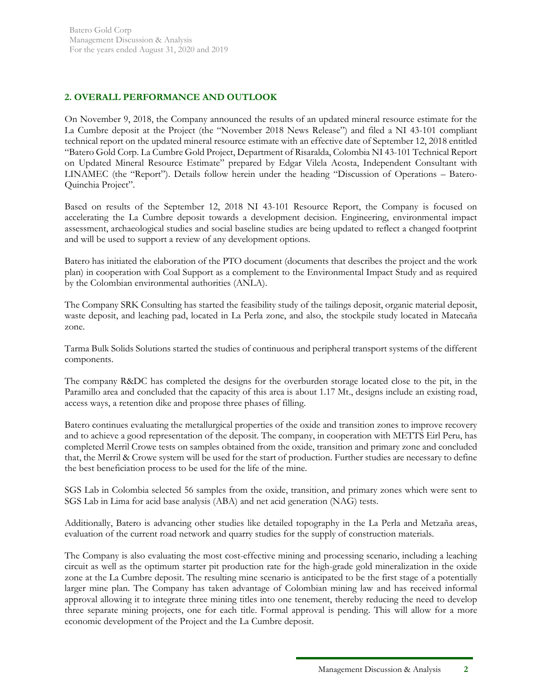# **2. OVERALL PERFORMANCE AND OUTLOOK**

On November 9, 2018, the Company announced the results of an updated mineral resource estimate for the La Cumbre deposit at the Project (the "November 2018 News Release") and filed a NI 43-101 compliant technical report on the updated mineral resource estimate with an effective date of September 12, 2018 entitled "Batero Gold Corp. La Cumbre Gold Project, Department of Risaralda, Colombia NI 43-101 Technical Report on Updated Mineral Resource Estimate" prepared by Edgar Vilela Acosta, Independent Consultant with LINAMEC (the "Report"). Details follow herein under the heading "Discussion of Operations – Batero-Quinchia Project".

Based on results of the September 12, 2018 NI 43-101 Resource Report, the Company is focused on accelerating the La Cumbre deposit towards a development decision. Engineering, environmental impact assessment, archaeological studies and social baseline studies are being updated to reflect a changed footprint and will be used to support a review of any development options.

Batero has initiated the elaboration of the PTO document (documents that describes the project and the work plan) in cooperation with Coal Support as a complement to the Environmental Impact Study and as required by the Colombian environmental authorities (ANLA).

The Company SRK Consulting has started the feasibility study of the tailings deposit, organic material deposit, waste deposit, and leaching pad, located in La Perla zone, and also, the stockpile study located in Matecaña zone.

Tarma Bulk Solids Solutions started the studies of continuous and peripheral transport systems of the different components.

The company R&DC has completed the designs for the overburden storage located close to the pit, in the Paramillo area and concluded that the capacity of this area is about 1.17 Mt., designs include an existing road, access ways, a retention dike and propose three phases of filling.

Batero continues evaluating the metallurgical properties of the oxide and transition zones to improve recovery and to achieve a good representation of the deposit. The company, in cooperation with METTS Eirl Peru, has completed Merril Crowe tests on samples obtained from the oxide, transition and primary zone and concluded that, the Merril & Crowe system will be used for the start of production. Further studies are necessary to define the best beneficiation process to be used for the life of the mine.

SGS Lab in Colombia selected 56 samples from the oxide, transition, and primary zones which were sent to SGS Lab in Lima for acid base analysis (ABA) and net acid generation (NAG) tests.

Additionally, Batero is advancing other studies like detailed topography in the La Perla and Metzaña areas, evaluation of the current road network and quarry studies for the supply of construction materials.

The Company is also evaluating the most cost-effective mining and processing scenario, including a leaching circuit as well as the optimum starter pit production rate for the high-grade gold mineralization in the oxide zone at the La Cumbre deposit. The resulting mine scenario is anticipated to be the first stage of a potentially larger mine plan. The Company has taken advantage of Colombian mining law and has received informal approval allowing it to integrate three mining titles into one tenement, thereby reducing the need to develop three separate mining projects, one for each title. Formal approval is pending. This will allow for a more economic development of the Project and the La Cumbre deposit.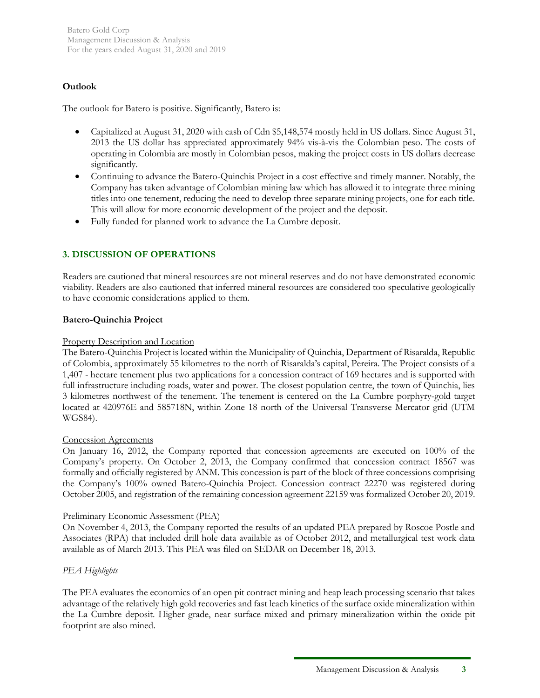# **Outlook**

The outlook for Batero is positive. Significantly, Batero is:

- Capitalized at August 31, 2020 with cash of Cdn \$5,148,574 mostly held in US dollars. Since August 31, 2013 the US dollar has appreciated approximately 94% vis-à-vis the Colombian peso. The costs of operating in Colombia are mostly in Colombian pesos, making the project costs in US dollars decrease significantly.
- Continuing to advance the Batero-Quinchia Project in a cost effective and timely manner. Notably, the Company has taken advantage of Colombian mining law which has allowed it to integrate three mining titles into one tenement, reducing the need to develop three separate mining projects, one for each title. This will allow for more economic development of the project and the deposit.
- Fully funded for planned work to advance the La Cumbre deposit.

# **3. DISCUSSION OF OPERATIONS**

Readers are cautioned that mineral resources are not mineral reserves and do not have demonstrated economic viability. Readers are also cautioned that inferred mineral resources are considered too speculative geologically to have economic considerations applied to them.

## **Batero-Quinchia Project**

### Property Description and Location

The Batero-Quinchia Project is located within the Municipality of Quinchia, Department of Risaralda, Republic of Colombia, approximately 55 kilometres to the north of Risaralda's capital, Pereira. The Project consists of a 1,407 - hectare tenement plus two applications for a concession contract of 169 hectares and is supported with full infrastructure including roads, water and power. The closest population centre, the town of Quinchia, lies 3 kilometres northwest of the tenement. The tenement is centered on the La Cumbre porphyry-gold target located at 420976E and 585718N, within Zone 18 north of the Universal Transverse Mercator grid (UTM WGS84).

#### Concession Agreements

On January 16, 2012, the Company reported that concession agreements are executed on 100% of the Company's property. On October 2, 2013, the Company confirmed that concession contract 18567 was formally and officially registered by ANM. This concession is part of the block of three concessions comprising the Company's 100% owned Batero-Quinchia Project. Concession contract 22270 was registered during October 2005, and registration of the remaining concession agreement 22159 was formalized October 20, 2019.

#### Preliminary Economic Assessment (PEA)

On November 4, 2013, the Company reported the results of an updated PEA prepared by Roscoe Postle and Associates (RPA) that included drill hole data available as of October 2012, and metallurgical test work data available as of March 2013. This PEA was filed on SEDAR on December 18, 2013.

## *PEA Highlights*

The PEA evaluates the economics of an open pit contract mining and heap leach processing scenario that takes advantage of the relatively high gold recoveries and fast leach kinetics of the surface oxide mineralization within the La Cumbre deposit. Higher grade, near surface mixed and primary mineralization within the oxide pit footprint are also mined.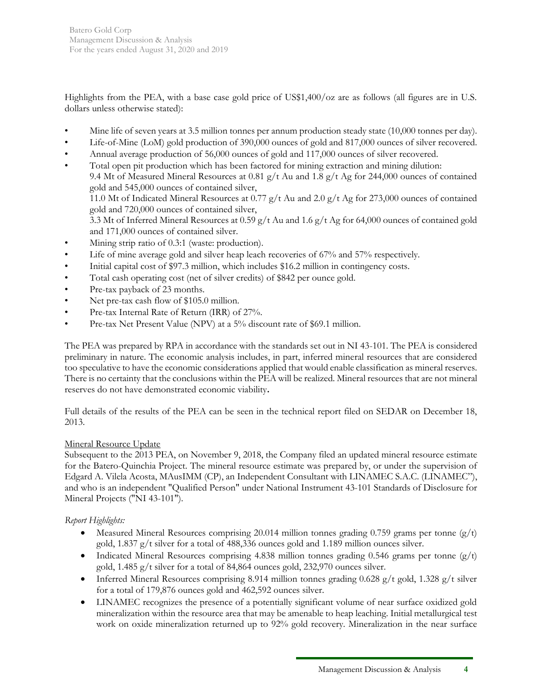Highlights from the PEA, with a base case gold price of US\$1,400/oz are as follows (all figures are in U.S. dollars unless otherwise stated):

- Mine life of seven years at 3.5 million tonnes per annum production steady state (10,000 tonnes per day).
- Life-of-Mine (LoM) gold production of 390,000 ounces of gold and 817,000 ounces of silver recovered.
- Annual average production of 56,000 ounces of gold and 117,000 ounces of silver recovered.
- Total open pit production which has been factored for mining extraction and mining dilution: 9.4 Mt of Measured Mineral Resources at 0.81 g/t Au and 1.8 g/t Ag for 244,000 ounces of contained gold and 545,000 ounces of contained silver, 11.0 Mt of Indicated Mineral Resources at 0.77 g/t Au and 2.0 g/t Ag for 273,000 ounces of contained gold and 720,000 ounces of contained silver, 3.3 Mt of Inferred Mineral Resources at 0.59 g/t Au and 1.6 g/t Ag for 64,000 ounces of contained gold and 171,000 ounces of contained silver.
- Mining strip ratio of 0.3:1 (waste: production).
- Life of mine average gold and silver heap leach recoveries of 67% and 57% respectively.
- Initial capital cost of \$97.3 million, which includes \$16.2 million in contingency costs.
- Total cash operating cost (net of silver credits) of \$842 per ounce gold.
- Pre-tax payback of 23 months.
- Net pre-tax cash flow of \$105.0 million.
- Pre-tax Internal Rate of Return (IRR) of 27%.
- Pre-tax Net Present Value (NPV) at a 5% discount rate of \$69.1 million.

The PEA was prepared by RPA in accordance with the standards set out in NI 43-101. The PEA is considered preliminary in nature. The economic analysis includes, in part, inferred mineral resources that are considered too speculative to have the economic considerations applied that would enable classification as mineral reserves. There is no certainty that the conclusions within the PEA will be realized. Mineral resources that are not mineral reserves do not have demonstrated economic viability**.** 

Full details of the results of the PEA can be seen in the technical report filed on SEDAR on December 18, 2013.

## Mineral Resource Update

Subsequent to the 2013 PEA, on November 9, 2018, the Company filed an updated mineral resource estimate for the Batero-Quinchia Project. The mineral resource estimate was prepared by, or under the supervision of Edgard A. Vilela Acosta, MAusIMM (CP), an Independent Consultant with LINAMEC S.A.C. (LINAMEC"), and who is an independent "Qualified Person" under National Instrument 43-101 Standards of Disclosure for Mineral Projects ("NI 43-101").

## *Report Highlights:*

- Measured Mineral Resources comprising 20.014 million tonnes grading 0.759 grams per tonne  $(g/t)$ gold, 1.837 g/t silver for a total of 488,336 ounces gold and 1.189 million ounces silver.
- Indicated Mineral Resources comprising 4.838 million tonnes grading 0.546 grams per tonne  $(g/t)$ gold, 1.485 g/t silver for a total of 84,864 ounces gold, 232,970 ounces silver.
- Inferred Mineral Resources comprising 8.914 million tonnes grading 0.628 g/t gold, 1.328 g/t silver for a total of 179,876 ounces gold and 462,592 ounces silver.
- LINAMEC recognizes the presence of a potentially significant volume of near surface oxidized gold mineralization within the resource area that may be amenable to heap leaching. Initial metallurgical test work on oxide mineralization returned up to 92% gold recovery. Mineralization in the near surface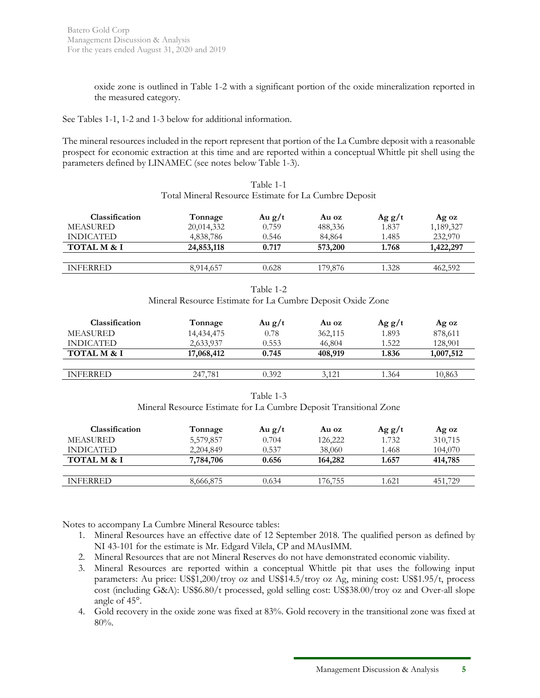oxide zone is outlined in Table 1-2 with a significant portion of the oxide mineralization reported in the measured category.

See Tables 1-1, 1-2 and 1-3 below for additional information.

The mineral resources included in the report represent that portion of the La Cumbre deposit with a reasonable prospect for economic extraction at this time and are reported within a conceptual Whittle pit shell using the parameters defined by LINAMEC (see notes below Table 1-3).

|                                                       | Table 1-1 |  |
|-------------------------------------------------------|-----------|--|
| Total Mineral Resource Estimate for La Cumbre Deposit |           |  |

| <b>Classification</b>  | Tonnage    | Au $g/t$ | Au oz   | Agg/t | Ag oz     |
|------------------------|------------|----------|---------|-------|-----------|
| <b>MEASURED</b>        | 20,014,332 | 0.759    | 488,336 | 1.837 | 1,189,327 |
| <b>INDICATED</b>       | 4,838,786  | 0.546    | 84,864  | 1.485 | 232,970   |
| <b>TOTAL M &amp; I</b> | 24,853,118 | 0.717    | 573,200 | 1.768 | 1,422,297 |
|                        |            |          |         |       |           |
| <b>INFERRED</b>        | 8,914,657  | 0.628    | 179.876 | 1.328 | 462,592   |

Table 1-2 Mineral Resource Estimate for La Cumbre Deposit Oxide Zone

| Classification         | Tonnage    | Au $g/t$ | Au oz   | $\rm Ag\ g/t$ | Ag oz     |
|------------------------|------------|----------|---------|---------------|-----------|
| <b>MEASURED</b>        | 14,434,475 | 0.78     | 362,115 | 1.893         | 878,611   |
| <b>INDICATED</b>       | 2,633,937  | 0.553    | 46,804  | 1.522         | 128,901   |
| <b>TOTAL M &amp; I</b> | 17,068,412 | 0.745    | 408,919 | 1.836         | 1,007,512 |
|                        |            |          |         |               |           |
| <b>INFERRED</b>        | 247.781    | 0.392    | 3.121   | 1.364         | 10,863    |

Table 1-3 Mineral Resource Estimate for La Cumbre Deposit Transitional Zone

| Classification         | Tonnage   | Au $g/t$ | Au oz   | Agg/t | Ag oz   |
|------------------------|-----------|----------|---------|-------|---------|
| MEASURED               | 5,579,857 | 0.704    | 126,222 | 1.732 | 310,715 |
| <b>INDICATED</b>       | 2,204,849 | 0.537    | 38,060  | 1.468 | 104,070 |
| <b>TOTAL M &amp; I</b> | 7,784,706 | 0.656    | 164,282 | 1.657 | 414,785 |
|                        |           |          |         |       |         |
| <b>INFERRED</b>        | 8,666,875 | 0.634    | 176.755 | 1.621 | 451.729 |

Notes to accompany La Cumbre Mineral Resource tables:

- 1. Mineral Resources have an effective date of 12 September 2018. The qualified person as defined by NI 43-101 for the estimate is Mr. Edgard Vilela, CP and MAusIMM.
- 2. Mineral Resources that are not Mineral Reserves do not have demonstrated economic viability.
- 3. Mineral Resources are reported within a conceptual Whittle pit that uses the following input parameters: Au price: US\$1,200/troy oz and US\$14.5/troy oz Ag, mining cost: US\$1.95/t, process cost (including G&A): US\$6.80/t processed, gold selling cost: US\$38.00/troy oz and Over-all slope angle of 45°.
- 4. Gold recovery in the oxide zone was fixed at 83%. Gold recovery in the transitional zone was fixed at 80%.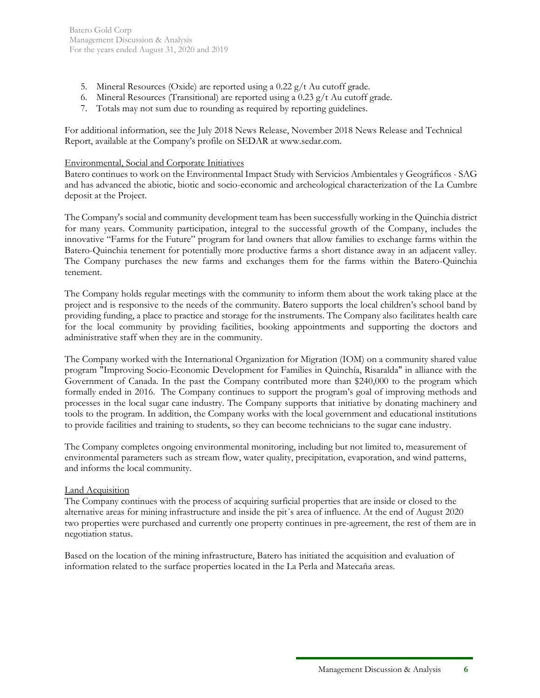- 5. Mineral Resources (Oxide) are reported using a 0.22 g/t Au cutoff grade.
- 6. Mineral Resources (Transitional) are reported using a 0.23  $g/t$  Au cutoff grade.
- 7. Totals may not sum due to rounding as required by reporting guidelines.

For additional information, see the July 2018 News Release, November 2018 News Release and Technical Report, available at the Company's profile on SEDAR at www.sedar.com.

## Environmental, Social and Corporate Initiatives

Batero continues to work on the Environmental Impact Study with Servicios Ambientales y Geográficos - SAG and has advanced the abiotic, biotic and socio-economic and archeological characterization of the La Cumbre deposit at the Project.

The Company's social and community development team has been successfully working in the Quinchia district for many years. Community participation, integral to the successful growth of the Company, includes the innovative "Farms for the Future" program for land owners that allow families to exchange farms within the Batero-Quinchia tenement for potentially more productive farms a short distance away in an adjacent valley. The Company purchases the new farms and exchanges them for the farms within the Batero-Quinchia tenement.

The Company holds regular meetings with the community to inform them about the work taking place at the project and is responsive to the needs of the community. Batero supports the local children's school band by providing funding, a place to practice and storage for the instruments. The Company also facilitates health care for the local community by providing facilities, booking appointments and supporting the doctors and administrative staff when they are in the community.

The Company worked with the International Organization for Migration (IOM) on a community shared value program "Improving Socio-Economic Development for Families in Quinchía, Risaralda" in alliance with the Government of Canada. In the past the Company contributed more than \$240,000 to the program which formally ended in 2016. The Company continues to support the program's goal of improving methods and processes in the local sugar cane industry. The Company supports that initiative by donating machinery and tools to the program. In addition, the Company works with the local government and educational institutions to provide facilities and training to students, so they can become technicians to the sugar cane industry.

The Company completes ongoing environmental monitoring, including but not limited to, measurement of environmental parameters such as stream flow, water quality, precipitation, evaporation, and wind patterns, and informs the local community.

## **Land Acquisition**

The Company continues with the process of acquiring surficial properties that are inside or closed to the alternative areas for mining infrastructure and inside the pit´s area of influence. At the end of August 2020 two properties were purchased and currently one property continues in pre-agreement, the rest of them are in negotiation status.

Based on the location of the mining infrastructure, Batero has initiated the acquisition and evaluation of information related to the surface properties located in the La Perla and Matecaña areas.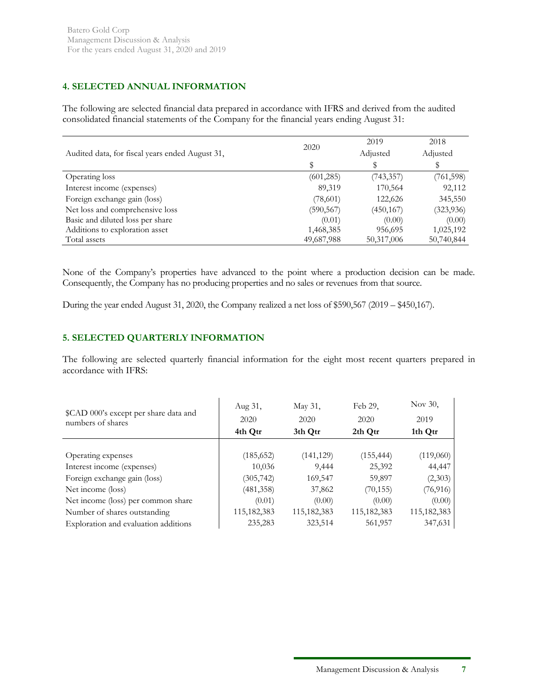# **4. SELECTED ANNUAL INFORMATION**

The following are selected financial data prepared in accordance with IFRS and derived from the audited consolidated financial statements of the Company for the financial years ending August 31:

|                                                 | 2020       | 2019       | 2018       |
|-------------------------------------------------|------------|------------|------------|
| Audited data, for fiscal years ended August 31, |            | Adjusted   | Adjusted   |
|                                                 |            |            |            |
| Operating loss                                  | (601, 285) | (743, 357) | (761, 598) |
| Interest income (expenses)                      | 89,319     | 170,564    | 92,112     |
| Foreign exchange gain (loss)                    | (78,601)   | 122,626    | 345,550    |
| Net loss and comprehensive loss                 | (590, 567) | (450, 167) | (323, 936) |
| Basic and diluted loss per share                | (0.01)     | (0.00)     | (0.00)     |
| Additions to exploration asset                  | 1,468,385  | 956,695    | 1,025,192  |
| Total assets                                    | 49,687,988 | 50,317,006 | 50,740,844 |

None of the Company's properties have advanced to the point where a production decision can be made. Consequently, the Company has no producing properties and no sales or revenues from that source.

During the year ended August 31, 2020, the Company realized a net loss of \$590,567 (2019 – \$450,167).

# **5. SELECTED QUARTERLY INFORMATION**

The following are selected quarterly financial information for the eight most recent quarters prepared in accordance with IFRS:

| \$CAD 000's except per share data and<br>numbers of shares | Aug 31,<br>2020<br>4th Qtr | May 31,<br>2020<br>3th Qtr | Feb 29,<br>2020<br>2th Qtr | Nov 30,<br>2019<br>1th Qtr |
|------------------------------------------------------------|----------------------------|----------------------------|----------------------------|----------------------------|
|                                                            |                            |                            |                            |                            |
| Operating expenses                                         | (185, 652)                 | (141, 129)                 | (155, 444)                 | (119,060)                  |
| Interest income (expenses)                                 | 10,036                     | 9.444                      | 25,392                     | 44,447                     |
| Foreign exchange gain (loss)                               | (305, 742)                 | 169,547                    | 59,897                     | (2,303)                    |
| Net income (loss)                                          | (481, 358)                 | 37,862                     | (70, 155)                  | (76, 916)                  |
| Net income (loss) per common share                         | (0.01)                     | (0.00)                     | (0.00)                     | (0.00)                     |
| Number of shares outstanding                               | 115,182,383                | 115,182,383                | 115,182,383                | 115, 182, 383              |
| Exploration and evaluation additions                       | 235,283                    | 323,514                    | 561,957                    | 347,631                    |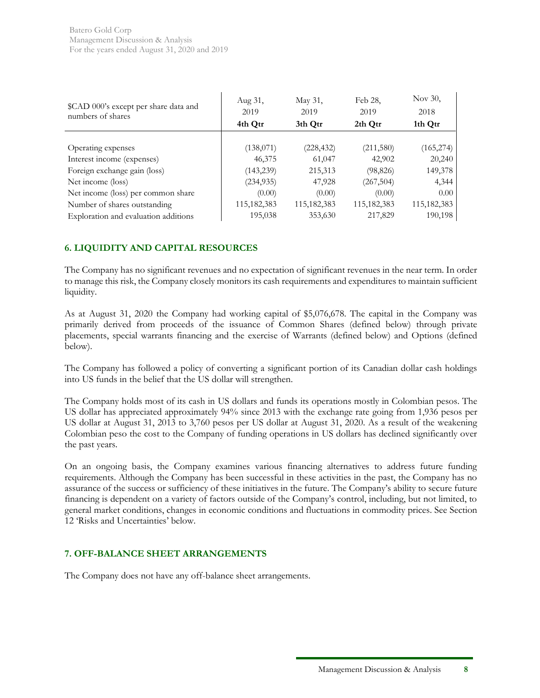| \$CAD 000's except per share data and<br>numbers of shares | Aug 31,<br>2019<br>4th Qtr | May 31,<br>2019<br>3th Otr | Feb 28,<br>2019<br>2th Qtr | Nov 30,<br>2018<br>1th Qtr |
|------------------------------------------------------------|----------------------------|----------------------------|----------------------------|----------------------------|
|                                                            |                            |                            |                            |                            |
| Operating expenses                                         | (138,071)                  | (228, 432)                 | (211,580)                  | (165, 274)                 |
| Interest income (expenses)                                 | 46,375                     | 61,047                     | 42,902                     | 20,240                     |
| Foreign exchange gain (loss)                               | (143, 239)                 | 215,313                    | (98, 826)                  | 149,378                    |
| Net income (loss)                                          | (234, 935)                 | 47,928                     | (267, 504)                 | 4,344                      |
| Net income (loss) per common share                         | (0.00)                     | (0.00)                     | (0.00)                     | 0.00 <sub>1</sub>          |
| Number of shares outstanding                               | 115, 182, 383              | 115,182,383                | 115,182,383                | 115, 182, 383              |
| Exploration and evaluation additions                       | 195,038                    | 353,630                    | 217,829                    | 190,198                    |

# **6. LIQUIDITY AND CAPITAL RESOURCES**

The Company has no significant revenues and no expectation of significant revenues in the near term. In order to manage this risk, the Company closely monitors its cash requirements and expenditures to maintain sufficient liquidity.

As at August 31, 2020 the Company had working capital of \$5,076,678. The capital in the Company was primarily derived from proceeds of the issuance of Common Shares (defined below) through private placements, special warrants financing and the exercise of Warrants (defined below) and Options (defined below).

The Company has followed a policy of converting a significant portion of its Canadian dollar cash holdings into US funds in the belief that the US dollar will strengthen.

The Company holds most of its cash in US dollars and funds its operations mostly in Colombian pesos. The US dollar has appreciated approximately 94% since 2013 with the exchange rate going from 1,936 pesos per US dollar at August 31, 2013 to 3,760 pesos per US dollar at August 31, 2020. As a result of the weakening Colombian peso the cost to the Company of funding operations in US dollars has declined significantly over the past years.

On an ongoing basis, the Company examines various financing alternatives to address future funding requirements. Although the Company has been successful in these activities in the past, the Company has no assurance of the success or sufficiency of these initiatives in the future. The Company's ability to secure future financing is dependent on a variety of factors outside of the Company's control, including, but not limited, to general market conditions, changes in economic conditions and fluctuations in commodity prices. See Section 12 'Risks and Uncertainties' below.

# **7. OFF-BALANCE SHEET ARRANGEMENTS**

The Company does not have any off-balance sheet arrangements.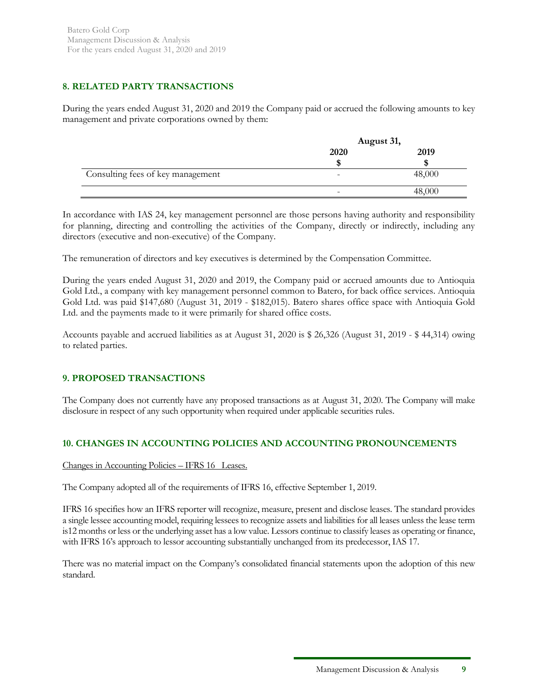# **8. RELATED PARTY TRANSACTIONS**

During the years ended August 31, 2020 and 2019 the Company paid or accrued the following amounts to key management and private corporations owned by them:

|                                   | August 31,               |        |
|-----------------------------------|--------------------------|--------|
|                                   | 2020                     | 2019   |
|                                   |                          |        |
| Consulting fees of key management | $\overline{\phantom{0}}$ | 48,000 |
|                                   | $\overline{\phantom{0}}$ | 48,000 |

In accordance with IAS 24, key management personnel are those persons having authority and responsibility for planning, directing and controlling the activities of the Company, directly or indirectly, including any directors (executive and non-executive) of the Company.

The remuneration of directors and key executives is determined by the Compensation Committee.

During the years ended August 31, 2020 and 2019, the Company paid or accrued amounts due to Antioquia Gold Ltd., a company with key management personnel common to Batero, for back office services. Antioquia Gold Ltd. was paid \$147,680 (August 31, 2019 - \$182,015). Batero shares office space with Antioquia Gold Ltd. and the payments made to it were primarily for shared office costs.

Accounts payable and accrued liabilities as at August 31, 2020 is \$ 26,326 (August 31, 2019 - \$ 44,314) owing to related parties.

# **9. PROPOSED TRANSACTIONS**

The Company does not currently have any proposed transactions as at August 31, 2020. The Company will make disclosure in respect of any such opportunity when required under applicable securities rules.

# **10. CHANGES IN ACCOUNTING POLICIES AND ACCOUNTING PRONOUNCEMENTS**

## Changes in Accounting Policies – IFRS 16 Leases.

The Company adopted all of the requirements of IFRS 16, effective September 1, 2019.

IFRS 16 specifies how an IFRS reporter will recognize, measure, present and disclose leases. The standard provides a single lessee accounting model, requiring lessees to recognize assets and liabilities for all leases unless the lease term is12 months or less or the underlying asset has a low value. Lessors continue to classify leases as operating or finance, with IFRS 16's approach to lessor accounting substantially unchanged from its predecessor, IAS 17.

There was no material impact on the Company's consolidated financial statements upon the adoption of this new standard.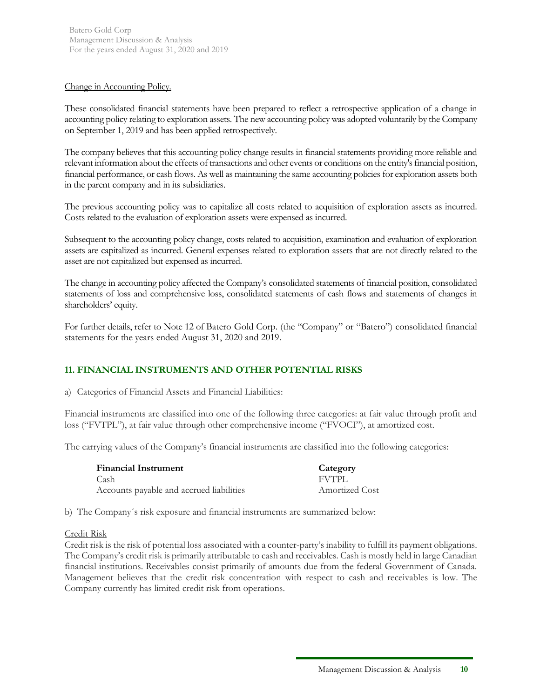### Change in Accounting Policy.

These consolidated financial statements have been prepared to reflect a retrospective application of a change in accounting policy relating to exploration assets. The new accounting policy was adopted voluntarily by the Company on September 1, 2019 and has been applied retrospectively.

The company believes that this accounting policy change results in financial statements providing more reliable and relevant information about the effects of transactions and other events or conditions on the entity's financial position, financial performance, or cash flows. As well as maintaining the same accounting policies for exploration assets both in the parent company and in its subsidiaries.

The previous accounting policy was to capitalize all costs related to acquisition of exploration assets as incurred. Costs related to the evaluation of exploration assets were expensed as incurred.

Subsequent to the accounting policy change, costs related to acquisition, examination and evaluation of exploration assets are capitalized as incurred. General expenses related to exploration assets that are not directly related to the asset are not capitalized but expensed as incurred.

The change in accounting policy affected the Company's consolidated statements of financial position, consolidated statements of loss and comprehensive loss, consolidated statements of cash flows and statements of changes in shareholders' equity.

For further details, refer to Note 12 of Batero Gold Corp. (the "Company" or "Batero") consolidated financial statements for the years ended August 31, 2020 and 2019.

# **11. FINANCIAL INSTRUMENTS AND OTHER POTENTIAL RISKS**

a) Categories of Financial Assets and Financial Liabilities:

Financial instruments are classified into one of the following three categories: at fair value through profit and loss ("FVTPL"), at fair value through other comprehensive income ("FVOCI"), at amortized cost.

The carrying values of the Company's financial instruments are classified into the following categories:

| <b>Financial Instrument</b>              | Category              |
|------------------------------------------|-----------------------|
| Cash                                     | <b>FVTPL</b>          |
| Accounts payable and accrued liabilities | <b>Amortized Cost</b> |

b) The Company´s risk exposure and financial instruments are summarized below:

## Credit Risk

Credit risk is the risk of potential loss associated with a counter-party's inability to fulfill its payment obligations. The Company's credit risk is primarily attributable to cash and receivables. Cash is mostly held in large Canadian financial institutions. Receivables consist primarily of amounts due from the federal Government of Canada. Management believes that the credit risk concentration with respect to cash and receivables is low. The Company currently has limited credit risk from operations.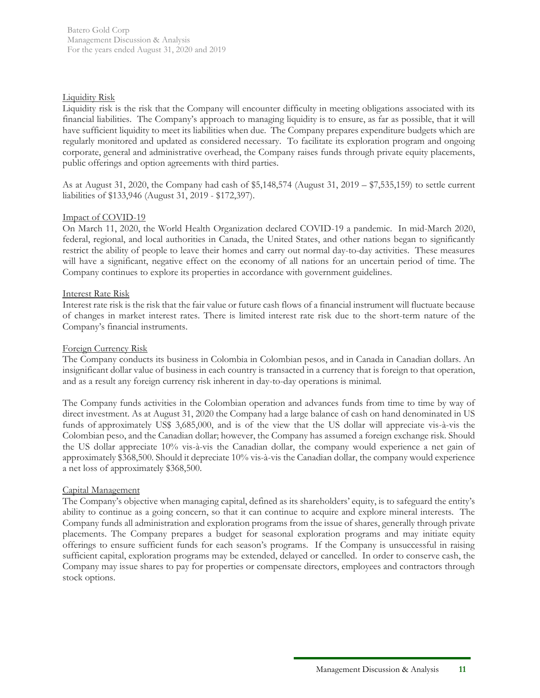### Liquidity Risk

Liquidity risk is the risk that the Company will encounter difficulty in meeting obligations associated with its financial liabilities. The Company's approach to managing liquidity is to ensure, as far as possible, that it will have sufficient liquidity to meet its liabilities when due. The Company prepares expenditure budgets which are regularly monitored and updated as considered necessary. To facilitate its exploration program and ongoing corporate, general and administrative overhead, the Company raises funds through private equity placements, public offerings and option agreements with third parties.

As at August 31, 2020, the Company had cash of \$5,148,574 (August 31, 2019 – \$7,535,159) to settle current liabilities of \$133,946 (August 31, 2019 - \$172,397).

### Impact of COVID-19

On March 11, 2020, the World Health Organization declared COVID-19 a pandemic. In mid-March 2020, federal, regional, and local authorities in Canada, the United States, and other nations began to significantly restrict the ability of people to leave their homes and carry out normal day-to-day activities. These measures will have a significant, negative effect on the economy of all nations for an uncertain period of time. The Company continues to explore its properties in accordance with government guidelines.

### Interest Rate Risk

Interest rate risk is the risk that the fair value or future cash flows of a financial instrument will fluctuate because of changes in market interest rates. There is limited interest rate risk due to the short-term nature of the Company's financial instruments.

#### Foreign Currency Risk

The Company conducts its business in Colombia in Colombian pesos, and in Canada in Canadian dollars. An insignificant dollar value of business in each country is transacted in a currency that is foreign to that operation, and as a result any foreign currency risk inherent in day-to-day operations is minimal.

The Company funds activities in the Colombian operation and advances funds from time to time by way of direct investment. As at August 31, 2020 the Company had a large balance of cash on hand denominated in US funds of approximately US\$ 3,685,000, and is of the view that the US dollar will appreciate vis-à-vis the Colombian peso, and the Canadian dollar; however, the Company has assumed a foreign exchange risk. Should the US dollar appreciate 10% vis-à-vis the Canadian dollar, the company would experience a net gain of approximately \$368,500. Should it depreciate 10% vis-à-vis the Canadian dollar, the company would experience a net loss of approximately \$368,500.

#### Capital Management

The Company's objective when managing capital, defined as its shareholders' equity, is to safeguard the entity's ability to continue as a going concern, so that it can continue to acquire and explore mineral interests. The Company funds all administration and exploration programs from the issue of shares, generally through private placements. The Company prepares a budget for seasonal exploration programs and may initiate equity offerings to ensure sufficient funds for each season's programs. If the Company is unsuccessful in raising sufficient capital, exploration programs may be extended, delayed or cancelled. In order to conserve cash, the Company may issue shares to pay for properties or compensate directors, employees and contractors through stock options.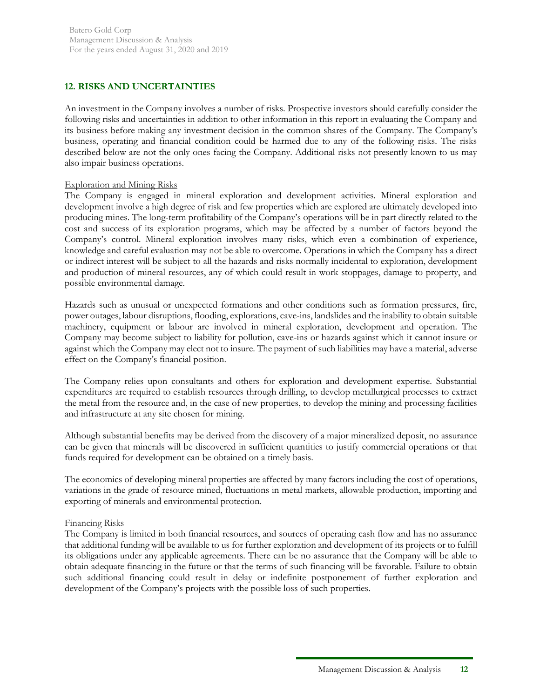# **12. RISKS AND UNCERTAINTIES**

An investment in the Company involves a number of risks. Prospective investors should carefully consider the following risks and uncertainties in addition to other information in this report in evaluating the Company and its business before making any investment decision in the common shares of the Company. The Company's business, operating and financial condition could be harmed due to any of the following risks. The risks described below are not the only ones facing the Company. Additional risks not presently known to us may also impair business operations.

### Exploration and Mining Risks

The Company is engaged in mineral exploration and development activities. Mineral exploration and development involve a high degree of risk and few properties which are explored are ultimately developed into producing mines. The long-term profitability of the Company's operations will be in part directly related to the cost and success of its exploration programs, which may be affected by a number of factors beyond the Company's control. Mineral exploration involves many risks, which even a combination of experience, knowledge and careful evaluation may not be able to overcome. Operations in which the Company has a direct or indirect interest will be subject to all the hazards and risks normally incidental to exploration, development and production of mineral resources, any of which could result in work stoppages, damage to property, and possible environmental damage.

Hazards such as unusual or unexpected formations and other conditions such as formation pressures, fire, power outages, labour disruptions, flooding, explorations, cave-ins, landslides and the inability to obtain suitable machinery, equipment or labour are involved in mineral exploration, development and operation. The Company may become subject to liability for pollution, cave-ins or hazards against which it cannot insure or against which the Company may elect not to insure. The payment of such liabilities may have a material, adverse effect on the Company's financial position.

The Company relies upon consultants and others for exploration and development expertise. Substantial expenditures are required to establish resources through drilling, to develop metallurgical processes to extract the metal from the resource and, in the case of new properties, to develop the mining and processing facilities and infrastructure at any site chosen for mining.

Although substantial benefits may be derived from the discovery of a major mineralized deposit, no assurance can be given that minerals will be discovered in sufficient quantities to justify commercial operations or that funds required for development can be obtained on a timely basis.

The economics of developing mineral properties are affected by many factors including the cost of operations, variations in the grade of resource mined, fluctuations in metal markets, allowable production, importing and exporting of minerals and environmental protection.

## Financing Risks

The Company is limited in both financial resources, and sources of operating cash flow and has no assurance that additional funding will be available to us for further exploration and development of its projects or to fulfill its obligations under any applicable agreements. There can be no assurance that the Company will be able to obtain adequate financing in the future or that the terms of such financing will be favorable. Failure to obtain such additional financing could result in delay or indefinite postponement of further exploration and development of the Company's projects with the possible loss of such properties.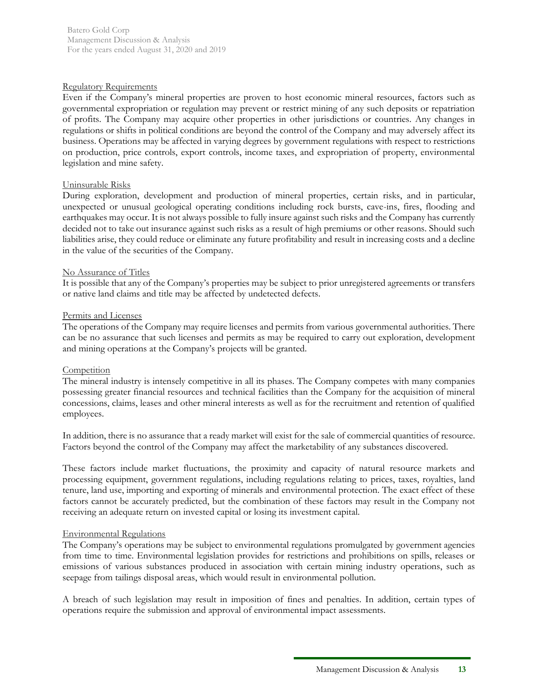### Regulatory Requirements

Even if the Company's mineral properties are proven to host economic mineral resources, factors such as governmental expropriation or regulation may prevent or restrict mining of any such deposits or repatriation of profits. The Company may acquire other properties in other jurisdictions or countries. Any changes in regulations or shifts in political conditions are beyond the control of the Company and may adversely affect its business. Operations may be affected in varying degrees by government regulations with respect to restrictions on production, price controls, export controls, income taxes, and expropriation of property, environmental legislation and mine safety.

### Uninsurable Risks

During exploration, development and production of mineral properties, certain risks, and in particular, unexpected or unusual geological operating conditions including rock bursts, cave-ins, fires, flooding and earthquakes may occur. It is not always possible to fully insure against such risks and the Company has currently decided not to take out insurance against such risks as a result of high premiums or other reasons. Should such liabilities arise, they could reduce or eliminate any future profitability and result in increasing costs and a decline in the value of the securities of the Company.

### No Assurance of Titles

It is possible that any of the Company's properties may be subject to prior unregistered agreements or transfers or native land claims and title may be affected by undetected defects.

#### Permits and Licenses

The operations of the Company may require licenses and permits from various governmental authorities. There can be no assurance that such licenses and permits as may be required to carry out exploration, development and mining operations at the Company's projects will be granted.

#### **Competition**

The mineral industry is intensely competitive in all its phases. The Company competes with many companies possessing greater financial resources and technical facilities than the Company for the acquisition of mineral concessions, claims, leases and other mineral interests as well as for the recruitment and retention of qualified employees.

In addition, there is no assurance that a ready market will exist for the sale of commercial quantities of resource. Factors beyond the control of the Company may affect the marketability of any substances discovered.

These factors include market fluctuations, the proximity and capacity of natural resource markets and processing equipment, government regulations, including regulations relating to prices, taxes, royalties, land tenure, land use, importing and exporting of minerals and environmental protection. The exact effect of these factors cannot be accurately predicted, but the combination of these factors may result in the Company not receiving an adequate return on invested capital or losing its investment capital.

#### Environmental Regulations

The Company's operations may be subject to environmental regulations promulgated by government agencies from time to time. Environmental legislation provides for restrictions and prohibitions on spills, releases or emissions of various substances produced in association with certain mining industry operations, such as seepage from tailings disposal areas, which would result in environmental pollution.

A breach of such legislation may result in imposition of fines and penalties. In addition, certain types of operations require the submission and approval of environmental impact assessments.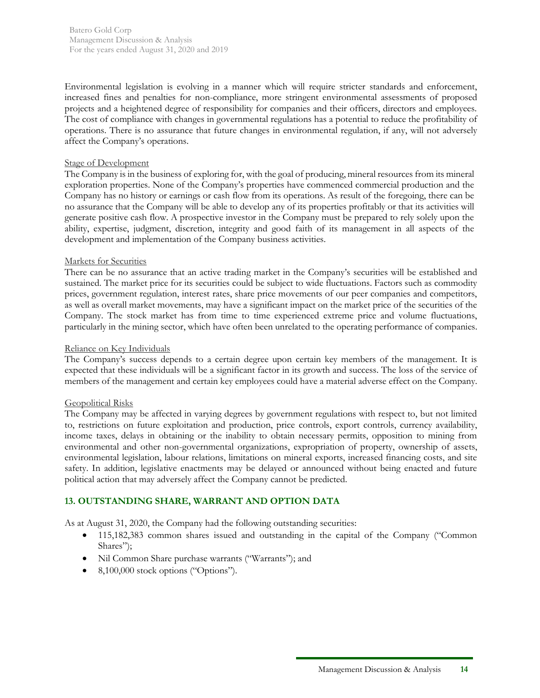Batero Gold Corp Management Discussion & Analysis For the years ended August 31, 2020 and 2019

Environmental legislation is evolving in a manner which will require stricter standards and enforcement, increased fines and penalties for non-compliance, more stringent environmental assessments of proposed projects and a heightened degree of responsibility for companies and their officers, directors and employees. The cost of compliance with changes in governmental regulations has a potential to reduce the profitability of operations. There is no assurance that future changes in environmental regulation, if any, will not adversely affect the Company's operations.

#### Stage of Development

The Company is in the business of exploring for, with the goal of producing, mineral resources from its mineral exploration properties. None of the Company's properties have commenced commercial production and the Company has no history or earnings or cash flow from its operations. As result of the foregoing, there can be no assurance that the Company will be able to develop any of its properties profitably or that its activities will generate positive cash flow. A prospective investor in the Company must be prepared to rely solely upon the ability, expertise, judgment, discretion, integrity and good faith of its management in all aspects of the development and implementation of the Company business activities.

#### Markets for Securities

There can be no assurance that an active trading market in the Company's securities will be established and sustained. The market price for its securities could be subject to wide fluctuations. Factors such as commodity prices, government regulation, interest rates, share price movements of our peer companies and competitors, as well as overall market movements, may have a significant impact on the market price of the securities of the Company. The stock market has from time to time experienced extreme price and volume fluctuations, particularly in the mining sector, which have often been unrelated to the operating performance of companies.

#### Reliance on Key Individuals

The Company's success depends to a certain degree upon certain key members of the management. It is expected that these individuals will be a significant factor in its growth and success. The loss of the service of members of the management and certain key employees could have a material adverse effect on the Company.

#### Geopolitical Risks

The Company may be affected in varying degrees by government regulations with respect to, but not limited to, restrictions on future exploitation and production, price controls, export controls, currency availability, income taxes, delays in obtaining or the inability to obtain necessary permits, opposition to mining from environmental and other non-governmental organizations, expropriation of property, ownership of assets, environmental legislation, labour relations, limitations on mineral exports, increased financing costs, and site safety. In addition, legislative enactments may be delayed or announced without being enacted and future political action that may adversely affect the Company cannot be predicted.

#### **13. OUTSTANDING SHARE, WARRANT AND OPTION DATA**

As at August 31, 2020, the Company had the following outstanding securities:

- 115,182,383 common shares issued and outstanding in the capital of the Company ("Common Shares");
- Nil Common Share purchase warrants ("Warrants"); and
- 8,100,000 stock options ("Options").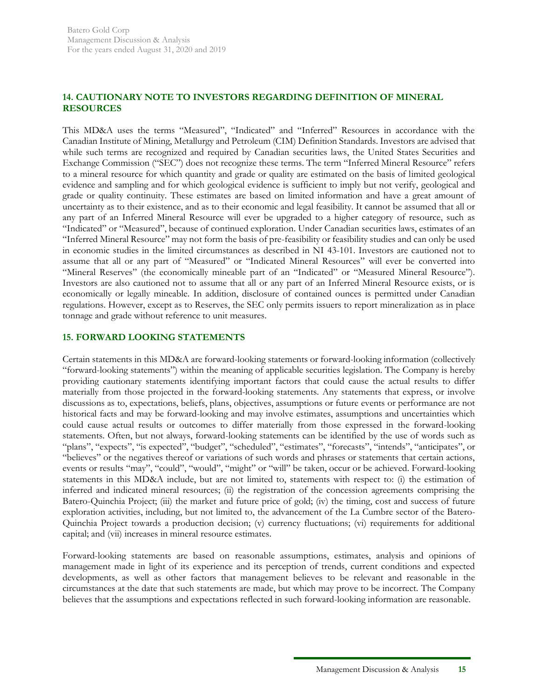# **14. CAUTIONARY NOTE TO INVESTORS REGARDING DEFINITION OF MINERAL RESOURCES**

This MD&A uses the terms "Measured", "Indicated" and "Inferred" Resources in accordance with the Canadian Institute of Mining, Metallurgy and Petroleum (CIM) Definition Standards. Investors are advised that while such terms are recognized and required by Canadian securities laws, the United States Securities and Exchange Commission ("SEC") does not recognize these terms. The term "Inferred Mineral Resource" refers to a mineral resource for which quantity and grade or quality are estimated on the basis of limited geological evidence and sampling and for which geological evidence is sufficient to imply but not verify, geological and grade or quality continuity. These estimates are based on limited information and have a great amount of uncertainty as to their existence, and as to their economic and legal feasibility. It cannot be assumed that all or any part of an Inferred Mineral Resource will ever be upgraded to a higher category of resource, such as "Indicated" or "Measured", because of continued exploration. Under Canadian securities laws, estimates of an "Inferred Mineral Resource" may not form the basis of pre-feasibility or feasibility studies and can only be used in economic studies in the limited circumstances as described in NI 43-101. Investors are cautioned not to assume that all or any part of "Measured" or "Indicated Mineral Resources" will ever be converted into "Mineral Reserves" (the economically mineable part of an "Indicated" or "Measured Mineral Resource"). Investors are also cautioned not to assume that all or any part of an Inferred Mineral Resource exists, or is economically or legally mineable. In addition, disclosure of contained ounces is permitted under Canadian regulations. However, except as to Reserves, the SEC only permits issuers to report mineralization as in place tonnage and grade without reference to unit measures.

# **15. FORWARD LOOKING STATEMENTS**

Certain statements in this MD&A are forward-looking statements or forward-looking information (collectively "forward-looking statements") within the meaning of applicable securities legislation. The Company is hereby providing cautionary statements identifying important factors that could cause the actual results to differ materially from those projected in the forward-looking statements. Any statements that express, or involve discussions as to, expectations, beliefs, plans, objectives, assumptions or future events or performance are not historical facts and may be forward-looking and may involve estimates, assumptions and uncertainties which could cause actual results or outcomes to differ materially from those expressed in the forward-looking statements. Often, but not always, forward-looking statements can be identified by the use of words such as "plans", "expects", "is expected", "budget", "scheduled", "estimates", "forecasts", "intends", "anticipates", or "believes" or the negatives thereof or variations of such words and phrases or statements that certain actions, events or results "may", "could", "would", "might" or "will" be taken, occur or be achieved. Forward-looking statements in this MD&A include, but are not limited to, statements with respect to: (i) the estimation of inferred and indicated mineral resources; (ii) the registration of the concession agreements comprising the Batero-Quinchia Project; (iii) the market and future price of gold; (iv) the timing, cost and success of future exploration activities, including, but not limited to, the advancement of the La Cumbre sector of the Batero-Quinchia Project towards a production decision; (v) currency fluctuations; (vi) requirements for additional capital; and (vii) increases in mineral resource estimates.

Forward-looking statements are based on reasonable assumptions, estimates, analysis and opinions of management made in light of its experience and its perception of trends, current conditions and expected developments, as well as other factors that management believes to be relevant and reasonable in the circumstances at the date that such statements are made, but which may prove to be incorrect. The Company believes that the assumptions and expectations reflected in such forward-looking information are reasonable.